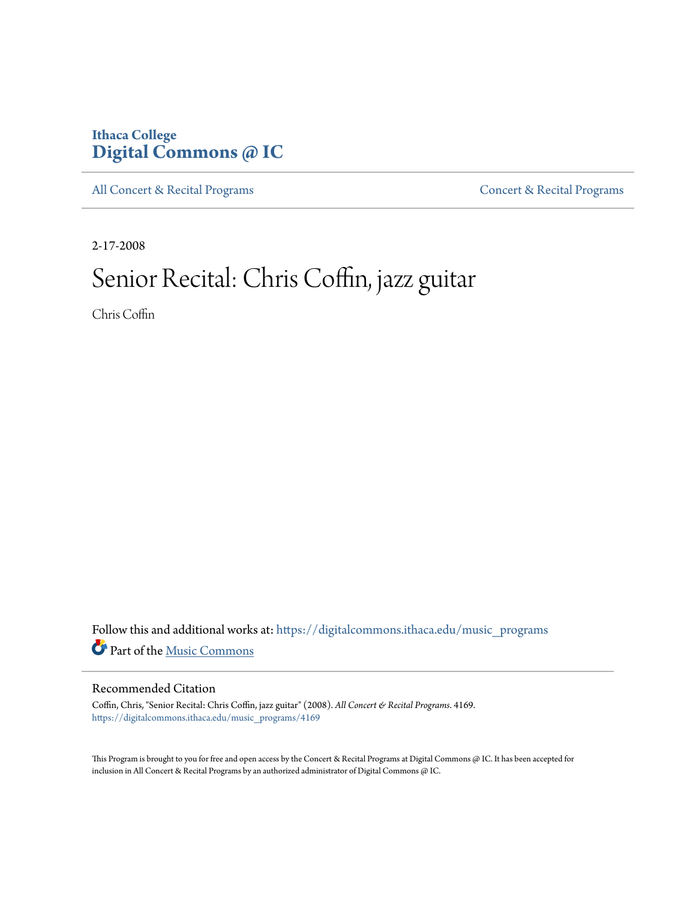### **Ithaca College [Digital Commons @ IC](https://digitalcommons.ithaca.edu?utm_source=digitalcommons.ithaca.edu%2Fmusic_programs%2F4169&utm_medium=PDF&utm_campaign=PDFCoverPages)**

[All Concert & Recital Programs](https://digitalcommons.ithaca.edu/music_programs?utm_source=digitalcommons.ithaca.edu%2Fmusic_programs%2F4169&utm_medium=PDF&utm_campaign=PDFCoverPages) **[Concert & Recital Programs](https://digitalcommons.ithaca.edu/som_programs?utm_source=digitalcommons.ithaca.edu%2Fmusic_programs%2F4169&utm_medium=PDF&utm_campaign=PDFCoverPages)** 

2-17-2008

## Senior Recital: Chris Coffin, jazz guitar

Chris Coffin

Follow this and additional works at: [https://digitalcommons.ithaca.edu/music\\_programs](https://digitalcommons.ithaca.edu/music_programs?utm_source=digitalcommons.ithaca.edu%2Fmusic_programs%2F4169&utm_medium=PDF&utm_campaign=PDFCoverPages) Part of the [Music Commons](http://network.bepress.com/hgg/discipline/518?utm_source=digitalcommons.ithaca.edu%2Fmusic_programs%2F4169&utm_medium=PDF&utm_campaign=PDFCoverPages)

### Recommended Citation

Coffin, Chris, "Senior Recital: Chris Coffin, jazz guitar" (2008). *All Concert & Recital Programs*. 4169. [https://digitalcommons.ithaca.edu/music\\_programs/4169](https://digitalcommons.ithaca.edu/music_programs/4169?utm_source=digitalcommons.ithaca.edu%2Fmusic_programs%2F4169&utm_medium=PDF&utm_campaign=PDFCoverPages)

This Program is brought to you for free and open access by the Concert & Recital Programs at Digital Commons @ IC. It has been accepted for inclusion in All Concert & Recital Programs by an authorized administrator of Digital Commons @ IC.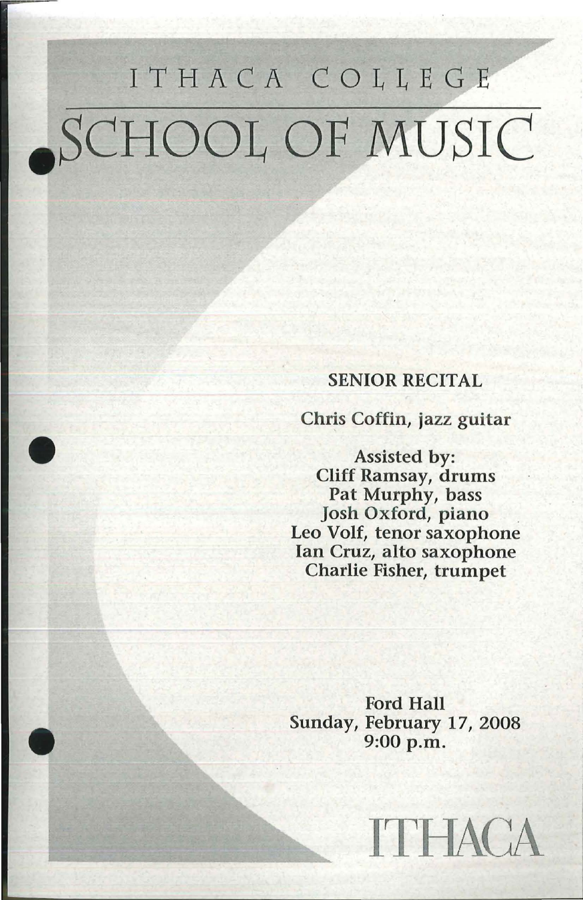# ITHACA COLLEGE .SCHOOL OF MUSIC

### SENIOR RECITAL

Chris Coffin, jazz guitar

Assisted by: Cliff Ramsay, drums Pat Murphy, bass Josh Oxford, piano Leo Volt, tenor saxophone Ian Cruz, alto saxophone Charlie Fisher, trumpet

Ford Hall Sunday, February 17, 2008 9:00 p.m.

ITHACA